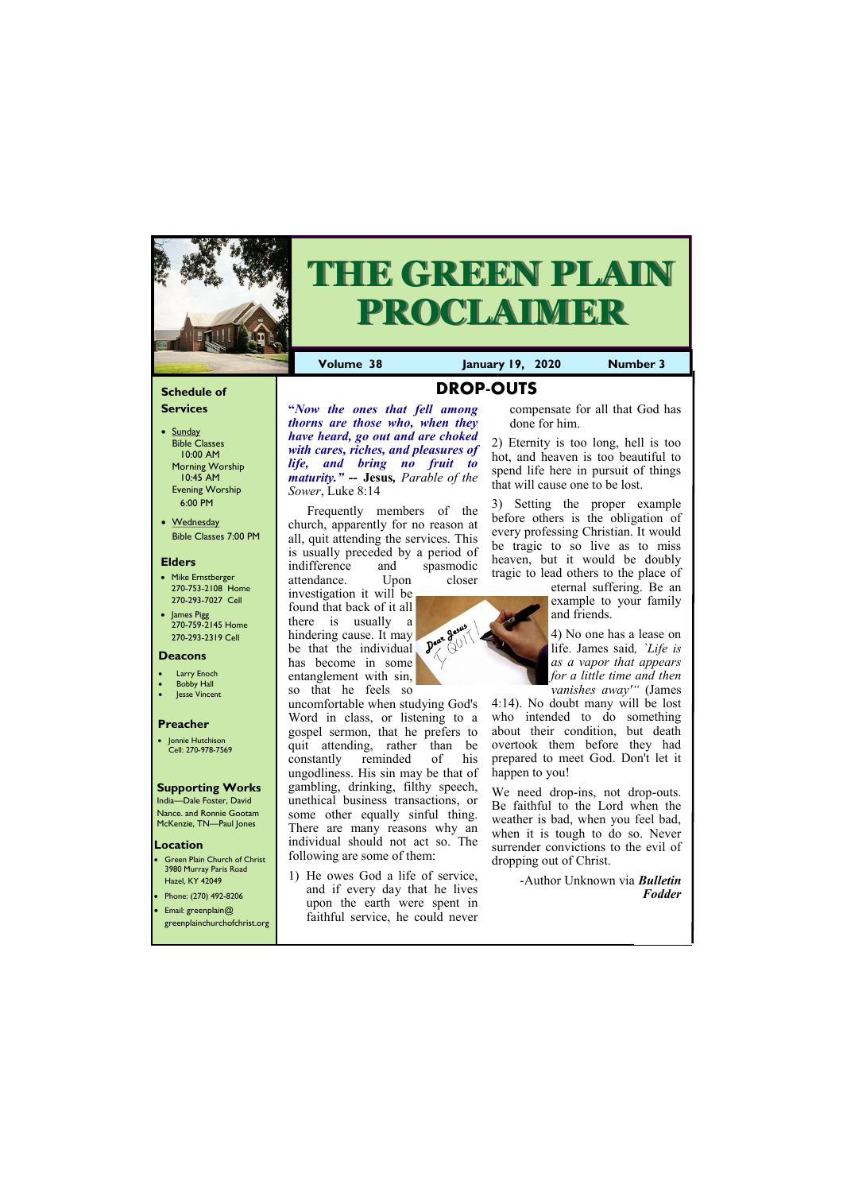## **Schedule of Services**

- Sunday Bible Classes 10:00 AM Morning Worship 10:45 AM Evening Worship 6:00 PM
- Wednesday Bible Classes 7:00 PM

#### **Elders**

Green Plain Church of Christ 3980 Murray Paris Road Hazel, KY 42049 • Phone: (270) 492-8206

- Mike Ernstberger 270-753-2108 Home 270-293-7027 Cell
- James Pigg 270-759-2145 Home 270-293-2319 Cell



# **THE GREEN PLAIN PROCLAIMER**

#### **Location**

• Email: greenplain@ greenplainchurchofchrist.org **Volume 38 January 19, 2020 Number 3**

#### **Deacons**

- **Larry Enoch**
- **Bobby Hall**
- **Jesse Vincent**

#### **Preacher**

• Jonnie Hutchison Cell: 270-978-7569

## **Supporting Works**

India—Dale Foster, David Nance. and Ronnie Gootam McKenzie, TN—Paul Jones

**DROP-OUTS**

**"***Now the ones that fell among thorns are those who, when they have heard, go out and are choked with cares, riches, and pleasures of life, and bring no fruit to maturity."* **-- Jesus***, Parable of the Sower*, Luke 8:14

Frequently members of the church, apparently for no reason at all, quit attending the services. This is usually preceded by a period of indifference and spasmodic attendance. Upon closer

investigation it will be found that back of it all there is usually a hindering cause. It may be that the individual has become in some entanglement with sin, so that he feels so

uncomfortable when studying God's Word in class, or listening to a gospel sermon, that he prefers to quit attending, rather than be constantly reminded of his ungodliness. His sin may be that of gambling, drinking, filthy speech, unethical business transactions, or some other equally sinful thing. There are many reasons why an individual should not act so. The following are some of them:

1) He owes God a life of service, and if every day that he lives

upon the earth were spent in faithful service, he could never compensate for all that God has done for him.

2) Eternity is too long, hell is too hot, and heaven is too beautiful to spend life here in pursuit of things that will cause one to be lost.

3) Setting the proper example before others is the obligation of every professing Christian. It would be tragic to so live as to miss heaven, but it would be doubly tragic to lead others to the place of



4) No one has a lease on life. James said*, `Life is as a vapor that appears for a little time and then vanishes away'"* (James

4:14). No doubt many will be lost who intended to do something about their condition, but death overtook them before they had prepared to meet God. Don't let it happen to you!

We need drop-ins, not drop-outs. Be faithful to the Lord when the weather is bad, when you feel bad, when it is tough to do so. Never surrender convictions to the evil of dropping out of Christ.

> -Author Unknown via *Bulletin Fodder*

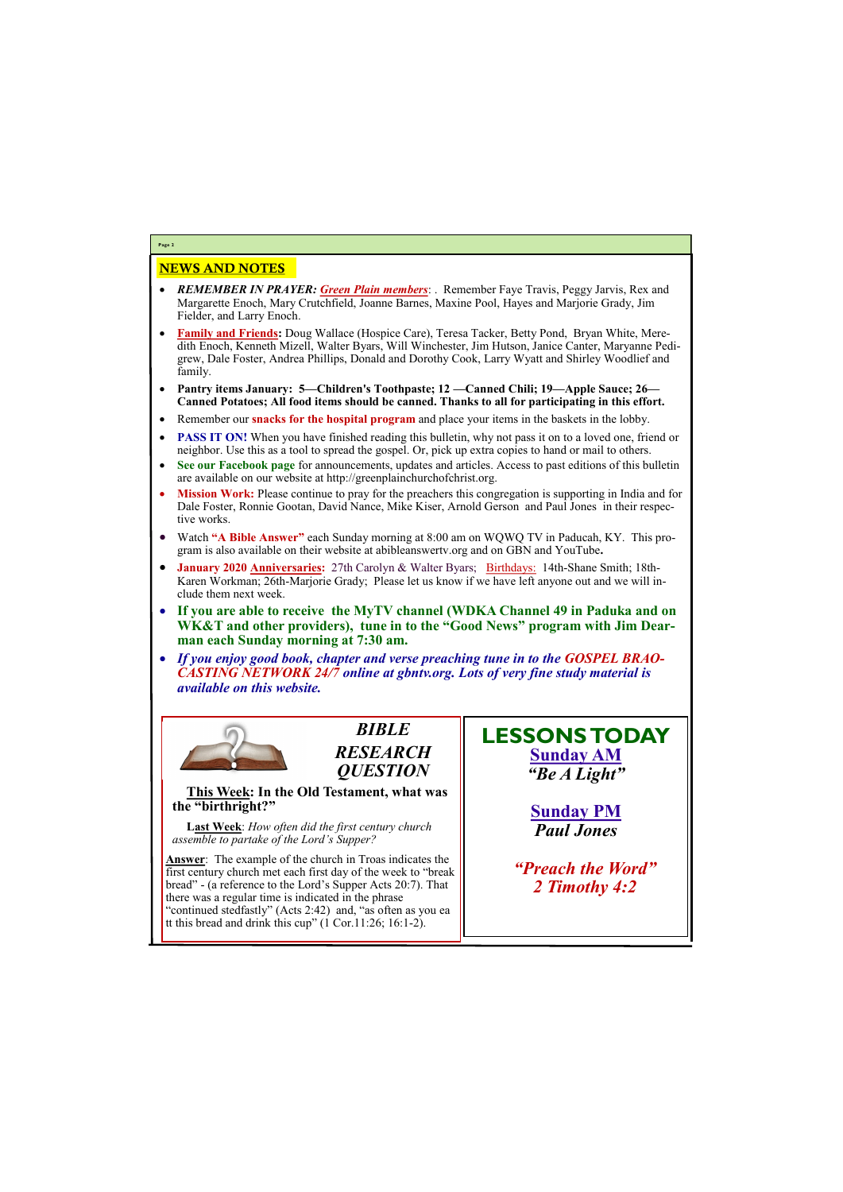## NEWS AND NOTES

- *REMEMBER IN PRAYER: Green Plain members*: . Remember Faye Travis, Peggy Jarvis, Rex and Margarette Enoch, Mary Crutchfield, Joanne Barnes, Maxine Pool, Hayes and Marjorie Grady, Jim Fielder, and Larry Enoch.
- **Family and Friends:** Doug Wallace (Hospice Care), Teresa Tacker, Betty Pond, Bryan White, Meredith Enoch, Kenneth Mizell, Walter Byars, Will Winchester, Jim Hutson, Janice Canter, Maryanne Pedigrew, Dale Foster, Andrea Phillips, Donald and Dorothy Cook, Larry Wyatt and Shirley Woodlief and family.
- **Pantry items January: 5—Children's Toothpaste; 12 —Canned Chili; 19—Apple Sauce; 26— Canned Potatoes; All food items should be canned. Thanks to all for participating in this effort.**
- Remember our **snacks for the hospital program** and place your items in the baskets in the lobby.
- **PASS IT ON!** When you have finished reading this bulletin, why not pass it on to a loved one, friend or neighbor. Use this as a tool to spread the gospel. Or, pick up extra copies to hand or mail to others.
- **See our Facebook page** for announcements, updates and articles. Access to past editions of this bulletin are available on our website at http://greenplainchurchofchrist.org.
- **Mission Work:** Please continue to pray for the preachers this congregation is supporting in India and for Dale Foster, Ronnie Gootan, David Nance, Mike Kiser, Arnold Gerson and Paul Jones in their respective works.
- Watch **"A Bible Answer"** each Sunday morning at 8:00 am on WQWQ TV in Paducah, KY. This program is also available on their website at abibleanswertv.org and on GBN and YouTube**.**
- **January 2020 Anniversaries:** 27th Carolyn & Walter Byars; Birthdays: 14th-Shane Smith; 18th-Karen Workman; 26th-Marjorie Grady; Please let us know if we have left anyone out and we will include them next week.
- **If you are able to receive the MyTV channel (WDKA Channel 49 in Paduka and on WK&T and other providers), tune in to the "Good News" program with Jim Dearman each Sunday morning at 7:30 am.**
- *If you enjoy good book, chapter and verse preaching tune in to the GOSPEL BRAO-CASTING NETWORK 24/7 online at gbntv.org. Lots of very fine study material is available on this website.*



**Page 2**

*BIBLE RESEARCH QUESTION*

**This Week: In the Old Testament, what was the "birthright?"**

**Last Week**: *How often did the first century church assemble to partake of the Lord's Supper?*

**Answer**: The example of the church in Troas indicates the first century church met each first day of the week to "break bread" - (a reference to the Lord's Supper Acts 20:7). That there was a regular time is indicated in the phrase "continued stedfastly" (Acts 2:42) and, "as often as you ea tt this bread and drink this cup" (1 Cor.11:26; 16:1-2).

**LESSONS TODAY Sunday AM** *"Be A Light"*

> **Sunday PM** *Paul Jones*

*"Preach the Word" 2 Timothy 4:2*

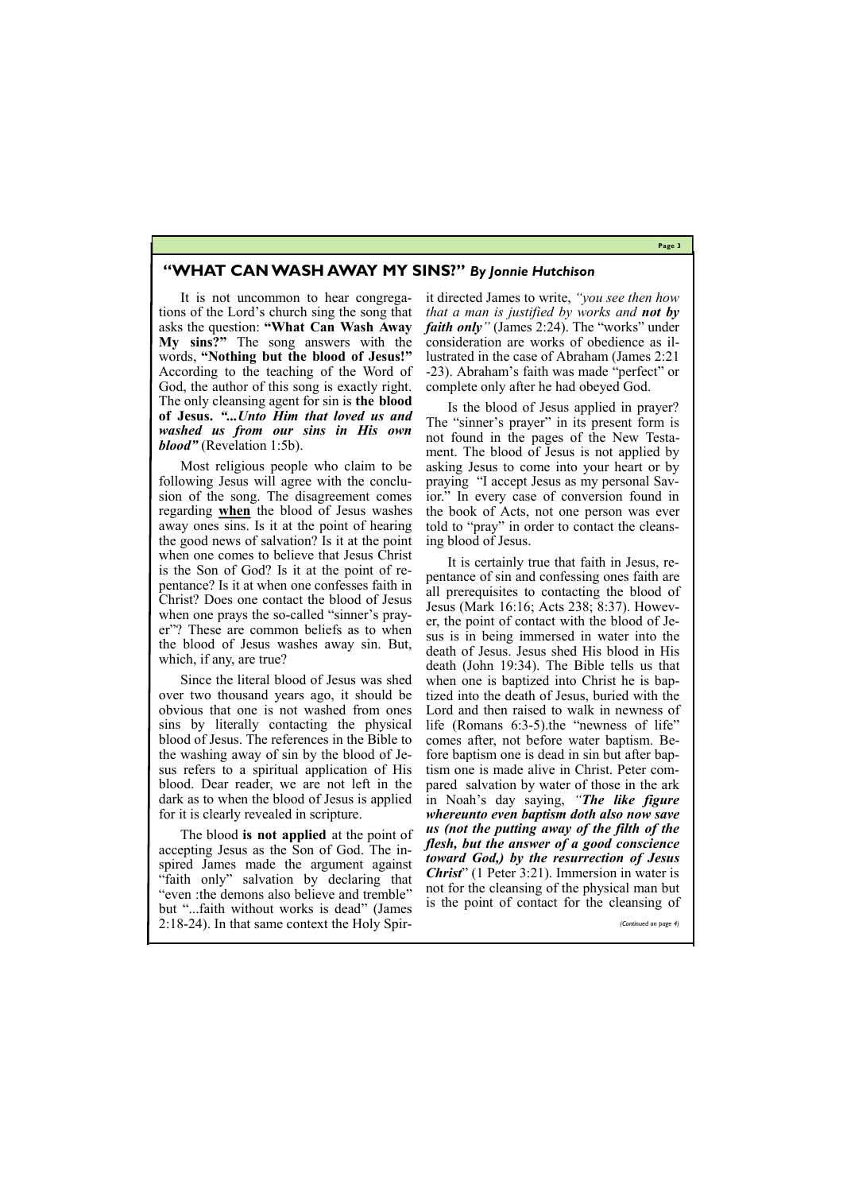**Page 3**

# **"WHAT CAN WASH AWAY MY SINS?"** *By Jonnie Hutchison*

It is not uncommon to hear congregations of the Lord's church sing the song that asks the question: **"What Can Wash Away My sins?"** The song answers with the words, **"Nothing but the blood of Jesus!"**  According to the teaching of the Word of God, the author of this song is exactly right. The only cleansing agent for sin is **the blood of Jesus.** *"...Unto Him that loved us and washed us from our sins in His own blood"* (Revelation 1:5b).

Most religious people who claim to be following Jesus will agree with the conclusion of the song. The disagreement comes regarding **when** the blood of Jesus washes away ones sins. Is it at the point of hearing the good news of salvation? Is it at the point when one comes to believe that Jesus Christ is the Son of God? Is it at the point of repentance? Is it at when one confesses faith in Christ? Does one contact the blood of Jesus when one prays the so-called "sinner's prayer"? These are common beliefs as to when the blood of Jesus washes away sin. But, which, if any, are true?

Since the literal blood of Jesus was shed over two thousand years ago, it should be obvious that one is not washed from ones sins by literally contacting the physical blood of Jesus. The references in the Bible to the washing away of sin by the blood of Jesus refers to a spiritual application of His blood. Dear reader, we are not left in the dark as to when the blood of Jesus is applied for it is clearly revealed in scripture.

The blood **is not applied** at the point of accepting Jesus as the Son of God. The inspired James made the argument against "faith only" salvation by declaring that "even :the demons also believe and tremble"

it directed James to write, *"you see then how that a man is justified by works and not by faith only*" (James 2:24). The "works" under consideration are works of obedience as illustrated in the case of Abraham (James 2:21 -23). Abraham's faith was made "perfect" or complete only after he had obeyed God.

Is the blood of Jesus applied in prayer? The "sinner's prayer" in its present form is not found in the pages of the New Testament. The blood of Jesus is not applied by asking Jesus to come into your heart or by praying "I accept Jesus as my personal Savior." In every case of conversion found in the book of Acts, not one person was ever told to "pray" in order to contact the cleansing blood of Jesus.

but "...faith without works is dead" (James 2:18-24). In that same context the Holy Spiris the point of contact for the cleansing of *(Continued on page 4)*

It is certainly true that faith in Jesus, repentance of sin and confessing ones faith are all prerequisites to contacting the blood of Jesus (Mark 16:16; Acts 238; 8:37). However, the point of contact with the blood of Jesus is in being immersed in water into the death of Jesus. Jesus shed His blood in His death (John 19:34). The Bible tells us that when one is baptized into Christ he is baptized into the death of Jesus, buried with the Lord and then raised to walk in newness of life (Romans 6:3-5).the "newness of life" comes after, not before water baptism. Before baptism one is dead in sin but after baptism one is made alive in Christ. Peter compared salvation by water of those in the ark in Noah's day saying, *"The like figure whereunto even baptism doth also now save us (not the putting away of the filth of the flesh, but the answer of a good conscience toward God,) by the resurrection of Jesus Christ*" (1 Peter 3:21). Immersion in water is not for the cleansing of the physical man but